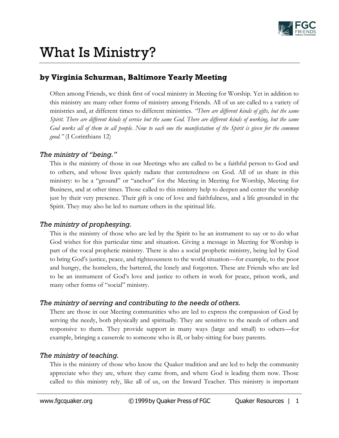

# What Is Ministry?

## **by Virginia Schurman, Baltimore Yearly Meeting**

Often among Friends, we think first of vocal ministry in Meeting for Worship. Yet in addition to this ministry are many other forms of ministry among Friends. All of us are called to a variety of ministries and, at different times to different ministries. *"There are different kinds of gifts, but the same Spirit. There are different kinds of service but the same God. There are different kinds of working, but the same God works all of them in all people. Now to each one the manifestation of the Spirit is given for the common good."* (I Corinthians 12)

#### *The ministry of "being."*

This is the ministry of those in our Meetings who are called to be a faithful person to God and to others, and whose lives quietly radiate that centeredness on God. All of us share in this ministry: to be a "ground" or "anchor" for the Meeting in Meeting for Worship, Meeting for Business, and at other times. Those called to this ministry help to deepen and center the worship just by their very presence. Their gift is one of love and faithfulness, and a life grounded in the Spirit. They may also be led to nurture others in the spiritual life.

### *The ministry of prophesying.*

This is the ministry of those who are led by the Spirit to be an instrument to say or to do what God wishes for this particular time and situation. Giving a message in Meeting for Worship is part of the vocal prophetic ministry. There is also a social prophetic ministry, being led by God to bring God's justice, peace, and righteousness to the world situation—for example, to the poor and hungry, the homeless, the battered, the lonely and forgotten. These are Friends who are led to be an instrument of God's love and justice to others in work for peace, prison work, and many other forms of "social" ministry.

### *The ministry of serving and contributing to the needs of others.*

There are those in our Meeting communities who are led to express the compassion of God by serving the needy, both physically and spiritually. They are sensitive to the needs of others and responsive to them. They provide support in many ways (large and small) to others—for example, bringing a casserole to someone who is ill, or baby-sitting for busy parents.

### *The ministry of teaching.*

This is the ministry of those who know the Quaker tradition and are led to help the community appreciate who they are, where they came from, and where God is leading them now. Those called to this ministry rely, like all of us, on the Inward Teacher. This ministry is important